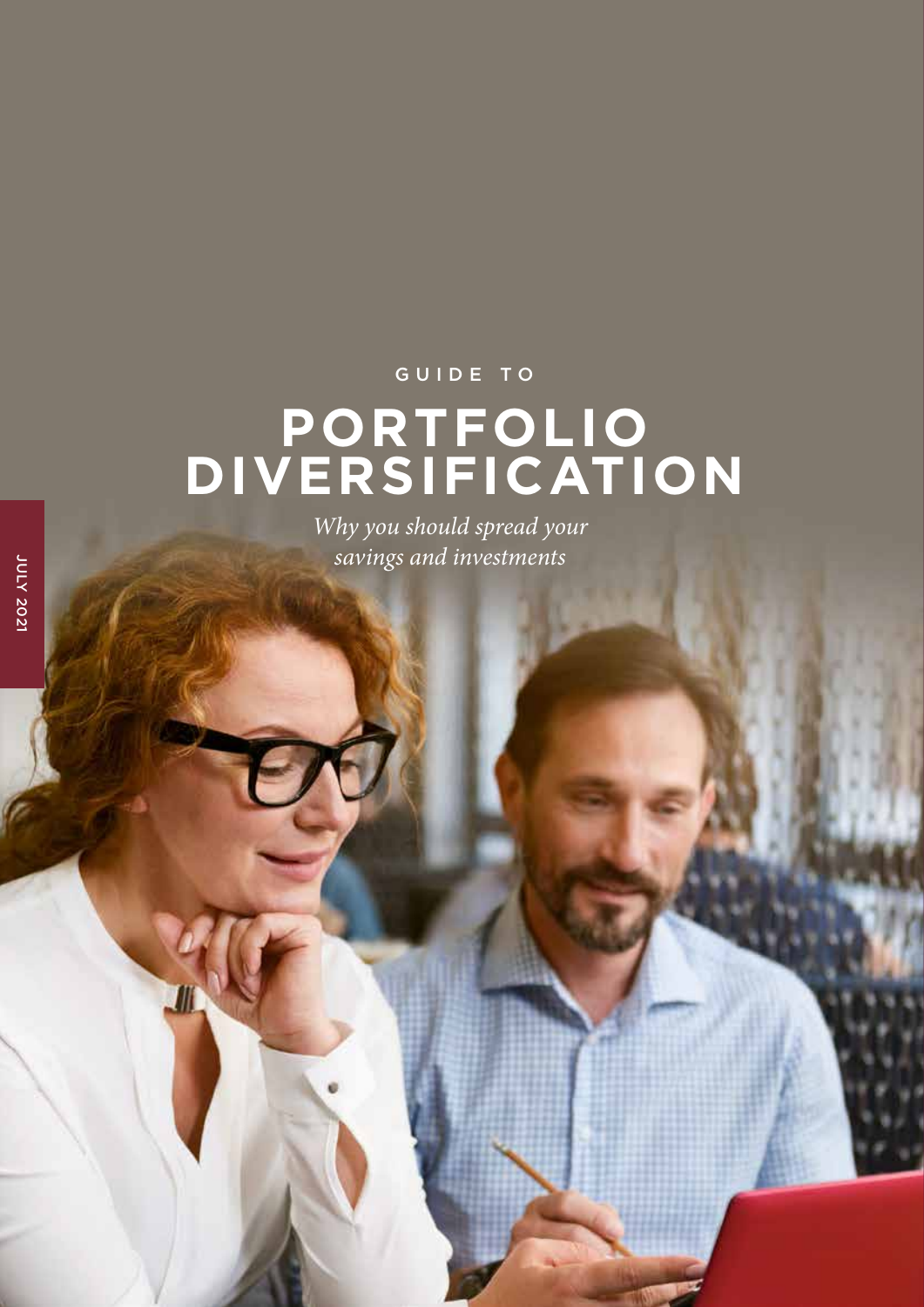### GUIDE TO

# **PORTFOLIO DIVERSIFICATION**

*Why you should spread your savings and investments*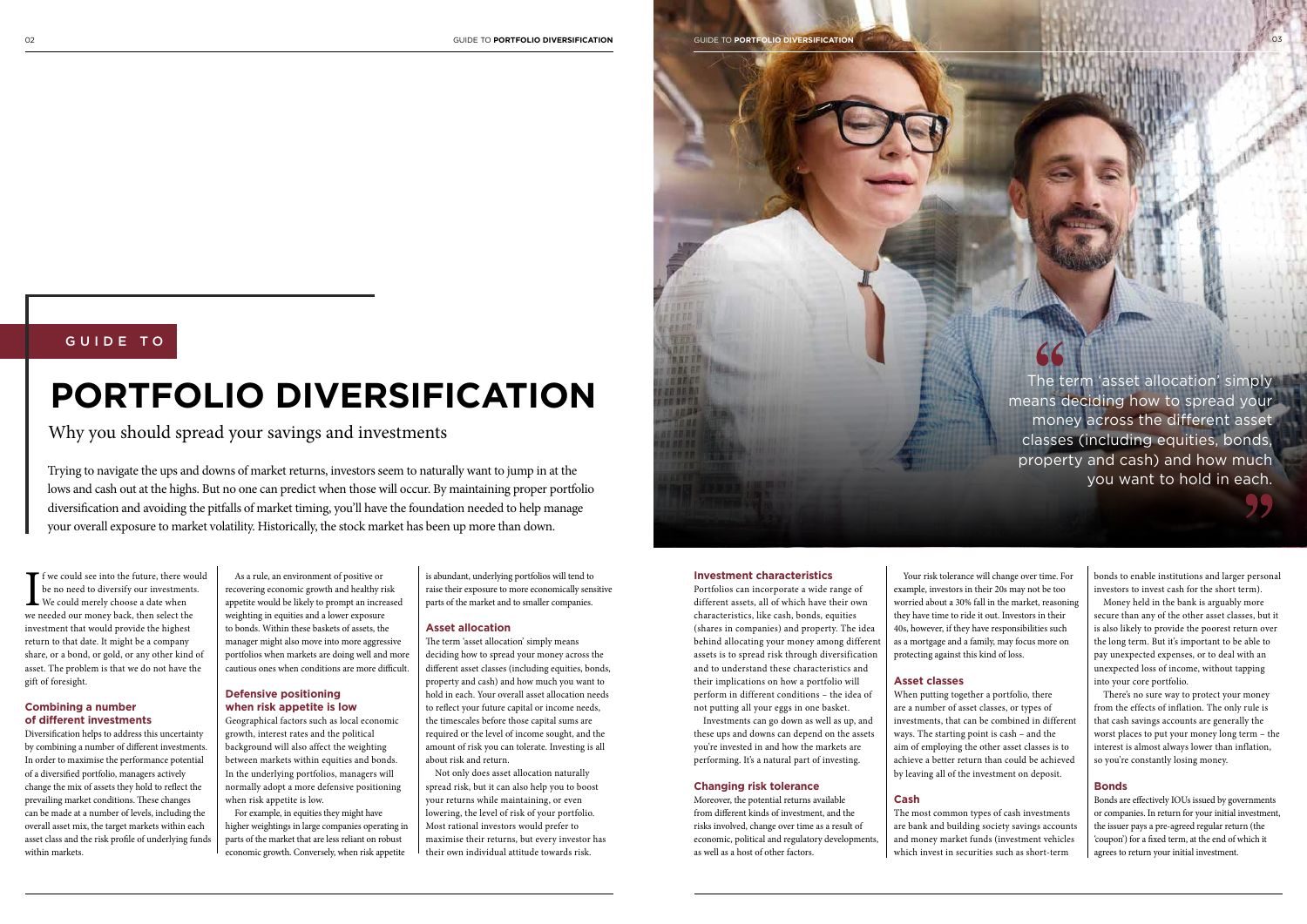02 GUIDE TO **PORTFOLIO DIVERSIFICATION** GUIDE TO **PORTFOLIO DIVERSIFICATION** 03

 $\prod_{\mathsf{we}$ **T** f we could see into the future, there would be no need to diversify our investments. We could merely choose a date when we needed our money back, then select the investment that would provide the highest return to that date. It might be a company share, or a bond, or gold, or any other kind of asset. The problem is that we do not have the gift of foresight.

#### **Combining a number of different investments**

Diversification helps to address this uncertainty by combining a number of different investments. In order to maximise the performance potential of a diversified portfolio, managers actively change the mix of assets they hold to reflect the prevailing market conditions. These changes can be made at a number of levels, including the overall asset mix, the target markets within each asset class and the risk profile of underlying funds within markets.

As a rule, an environment of positive or recovering economic growth and healthy risk appetite would be likely to prompt an increased weighting in equities and a lower exposure to bonds. Within these baskets of assets, the manager might also move into more aggressive portfolios when markets are doing well and more cautious ones when conditions are more difficult.

#### **Defensive positioning when risk appetite is low**

Geographical factors such as local economic growth, interest rates and the political background will also affect the weighting between markets within equities and bonds. In the underlying portfolios, managers will normally adopt a more defensive positioning when risk appetite is low.

For example, in equities they might have higher weightings in large companies operating in parts of the market that are less reliant on robust economic growth. Conversely, when risk appetite

is abundant, underlying portfolios will tend to raise their exposure to more economically sensitive parts of the market and to smaller companies.

#### **Asset allocation**

The term 'asset allocation' simply means deciding how to spread your money across the different asset classes (including equities, bonds, property and cash) and how much you want to hold in each. Your overall asset allocation needs to reflect your future capital or income needs, the timescales before those capital sums are required or the level of income sought, and the amount of risk you can tolerate. Investing is all about risk and return.

Not only does asset allocation naturally spread risk, but it can also help you to boost your returns while maintaining, or even lowering, the level of risk of your portfolio. Most rational investors would prefer to maximise their returns, but every investor has their own individual attitude towards risk.



### GUIDE TO

# **PORTFOLIO DIVERSIFICATION**

Why you should spread your savings and investments

Trying to navigate the ups and downs of market returns, investors seem to naturally want to jump in at the lows and cash out at the highs. But no one can predict when those will occur. By maintaining proper portfolio diversification and avoiding the pitfalls of market timing, you'll have the foundation needed to help manage your overall exposure to market volatility. Historically, the stock market has been up more than down.

#### **Investment characteristics**

Portfolios can incorporate a wide range of different assets, all of which have their own characteristics, like cash, bonds, equities (shares in companies) and property. The idea behind allocating your money among different assets is to spread risk through diversification and to understand these characteristics and their implications on how a portfolio will perform in different conditions – the idea of not putting all your eggs in one basket.

Investments can go down as well as up, and these ups and downs can depend on the assets you're invested in and how the markets are performing. It's a natural part of investing.

#### **Changing risk tolerance**

Moreover, the potential returns available from different kinds of investment, and the risks involved, change over time as a result of economic, political and regulatory developments, as well as a host of other factors.

Your risk tolerance will change over time. For example, investors in their 20s may not be too worried about a 30% fall in the market, reasoning they have time to ride it out. Investors in their 40s, however, if they have responsibilities such as a mortgage and a family, may focus more on protecting against this kind of loss.

### **Asset classes**

When putting together a portfolio, there are a number of asset classes, or types of investments, that can be combined in different ways. The starting point is cash – and the aim of employing the other asset classes is to achieve a better return than could be achieved by leaving all of the investment on deposit.

#### **Cash**

The most common types of cash investments are bank and building society savings accounts and money market funds (investment vehicles which invest in securities such as short-term

bonds to enable institutions and larger personal investors to invest cash for the short term).

Money held in the bank is arguably more secure than any of the other asset classes, but it is also likely to provide the poorest return over the long term. But it's important to be able to pay unexpected expenses, or to deal with an unexpected loss of income, without tapping into your core portfolio.

There's no sure way to protect your money from the effects of inflation. The only rule is that cash savings accounts are generally the worst places to put your money long term – the interest is almost always lower than inflation, so you're constantly losing money.

#### **Bonds**

Bonds are effectively IOUs issued by governments or companies. In return for your initial investment, the issuer pays a pre-agreed regular return (the 'coupon') for a fixed term, at the end of which it agrees to return your initial investment.

The term 'asset allocation' simply means deciding how to spread your money across the different asset classes (including equities, bonds, property and cash) and how much you want to hold in each.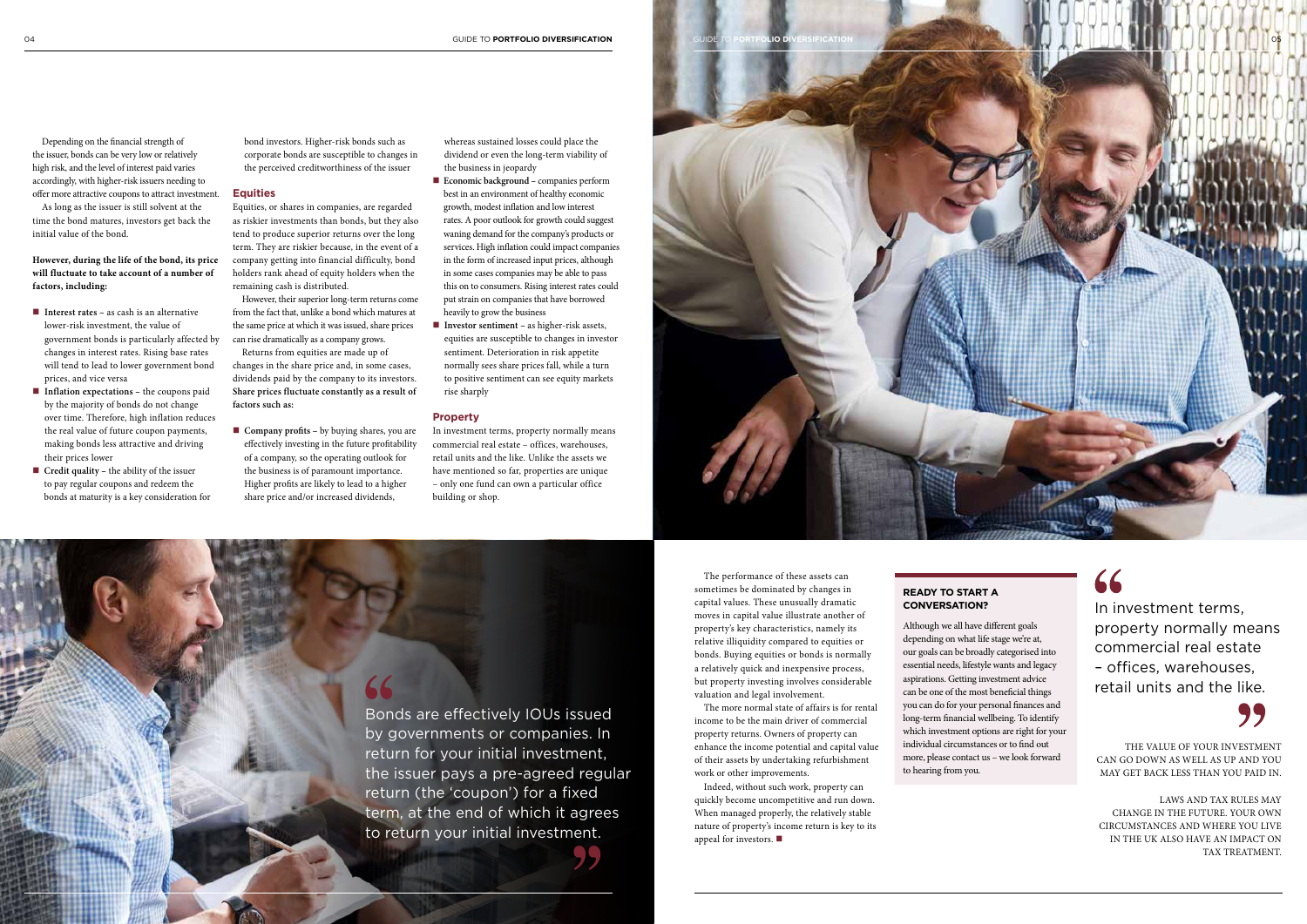Depending on the financial strength of the issuer, bonds can be very low or relatively high risk, and the level of interest paid varies accordingly, with higher-risk issuers needing to offer more attractive coupons to attract investment.

As long as the issuer is still solvent at the time the bond matures, investors get back the initial value of the bond.

**However, during the life of the bond, its price will fluctuate to take account of a number of factors, including:**

- **Interest rates** as cash is an alternative lower-risk investment, the value of government bonds is particularly affected by changes in interest rates. Rising base rates will tend to lead to lower government bond prices, and vice versa
- Inflation expectations the coupons paid by the majority of bonds do not change over time. Therefore, high inflation reduces the real value of future coupon payments, making bonds less attractive and driving their prices lower
- **Credit quality** the ability of the issuer to pay regular coupons and redeem the bonds at maturity is a key consideration for

■ **Company profits** – by buying shares, you are effectively investing in the future profitability of a company, so the operating outlook for the business is of paramount importance. Higher profits are likely to lead to a higher share price and/or increased dividends,

bond investors. Higher-risk bonds such as corporate bonds are susceptible to changes in the perceived creditworthiness of the issuer

#### **Equities**

Equities, or shares in companies, are regarded as riskier investments than bonds, but they also tend to produce superior returns over the long term. They are riskier because, in the event of a company getting into financial difficulty, bond holders rank ahead of equity holders when the remaining cash is distributed.

- Economic background companies perform best in an environment of healthy economic growth, modest inflation and low interest rates. A poor outlook for growth could suggest waning demand for the company's products or services. High inflation could impact companies in the form of increased input prices, although in some cases companies may be able to pass this on to consumers. Rising interest rates could put strain on companies that have borrowed heavily to grow the business
- **Investor sentiment** as higher-risk assets, equities are susceptible to changes in investor sentiment. Deterioration in risk appetite normally sees share prices fall, while a turn to positive sentiment can see equity markets rise sharply

However, their superior long-term returns come from the fact that, unlike a bond which matures at the same price at which it was issued, share prices can rise dramatically as a company grows.

Returns from equities are made up of changes in the share price and, in some cases, dividends paid by the company to its investors. **Share prices fluctuate constantly as a result of factors such as:**

> Indeed, without such work, property can quickly become uncompetitive and run down. When managed properly, the relatively stable nature of property's income return is key to its appeal for investors.  $\blacksquare$

whereas sustained losses could place the dividend or even the long-term viability of the business in jeopardy

#### **Property**

In investment terms, property normally means commercial real estate – offices, warehouses, retail units and the like. Unlike the assets we have mentioned so far, properties are unique – only one fund can own a particular office building or shop.

The performance of these assets can sometimes be dominated by changes in capital values. These unusually dramatic moves in capital value illustrate another of property's key characteristics, namely its relative illiquidity compared to equities or bonds. Buying equities or bonds is normally a relatively quick and inexpensive process, but property investing involves considerable valuation and legal involvement.

The more normal state of affairs is for rental income to be the main driver of commercial property returns. Owners of property can enhance the income potential and capital value of their assets by undertaking refurbishment work or other improvements.

THE VALUE OF YOUR INVESTMENT CAN GO DOWN AS WELL AS UP AND YOU MAY GET BACK LESS THAN YOU PAID IN.

LAWS AND TAX RULES MAY CHANGE IN THE FUTURE. YOUR OWN CIRCUMSTANCES AND WHERE YOU LIVE IN THE UK ALSO HAVE AN IMPACT ON TAX TREATMENT.

#### **READY TO START A CONVERSATION?**

Although we all have different goals depending on what life stage we're at, our goals can be broadly categorised into essential needs, lifestyle wants and legacy aspirations. Getting investment advice can be one of the most beneficial things you can do for your personal finances and long-term financial wellbeing. To identify which investment options are right for your individual circumstances or to find out more, please contact us – we look forward to hearing from you.

Bonds are effectively IOUs issued by governments or companies. In return for your initial investment, the issuer pays a pre-agreed regular return (the 'coupon') for a fixed term, at the end of which it agrees to return your initial investment.



# 66

In investment terms, property normally means commercial real estate – offices, warehouses, retail units and the like.